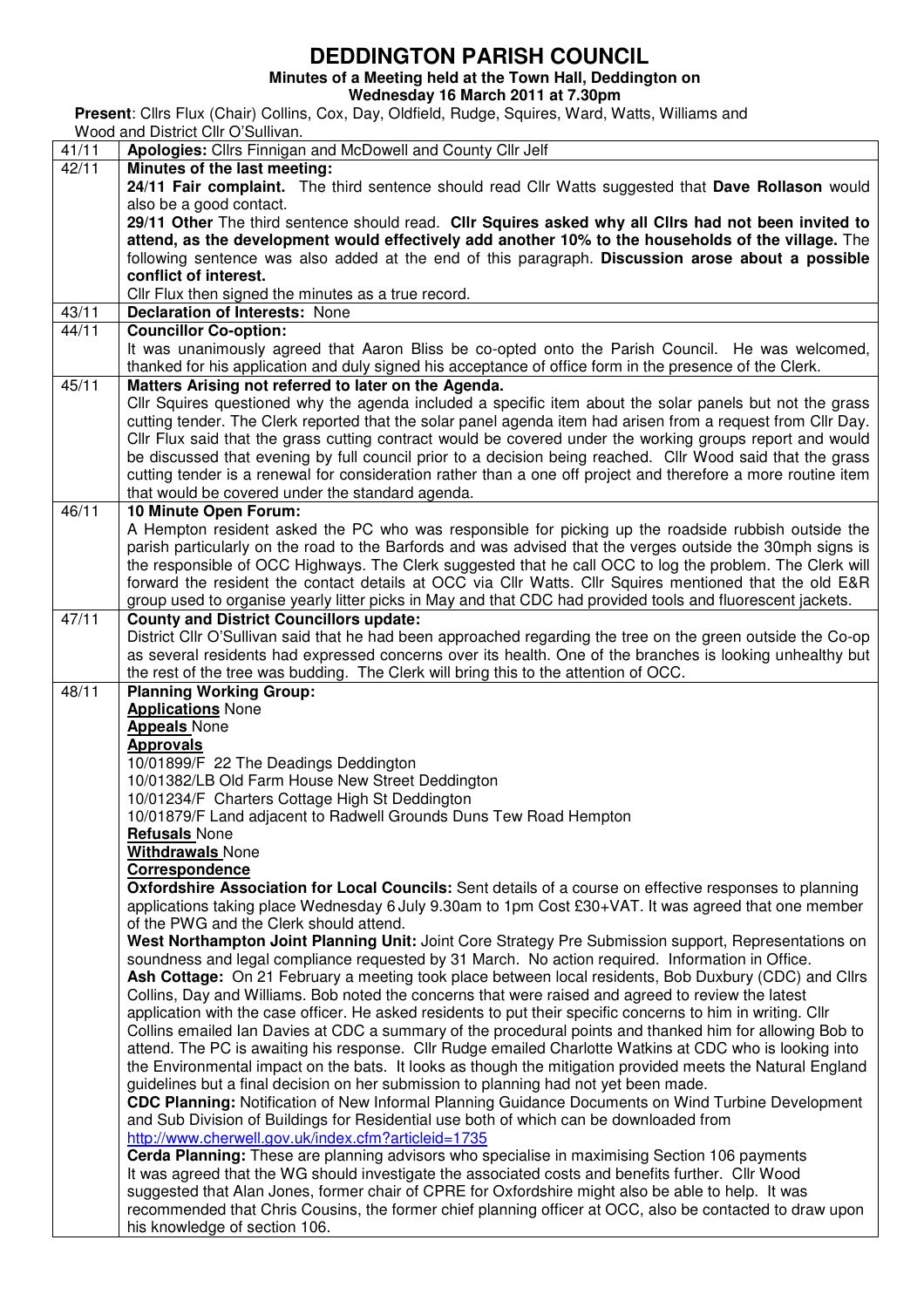## **DEDDINGTON PARISH COUNCIL**

**Minutes of a Meeting held at the Town Hall, Deddington on** 

**Wednesday 16 March 2011 at 7.30pm** 

**Present**: Cllrs Flux (Chair) Collins, Cox, Day, Oldfield, Rudge, Squires, Ward, Watts, Williams and

|       | Wood and District Cllr O'Sullivan.                                                                                                        |  |  |  |  |  |  |
|-------|-------------------------------------------------------------------------------------------------------------------------------------------|--|--|--|--|--|--|
| 41/11 | Apologies: Cllrs Finnigan and McDowell and County Cllr Jelf                                                                               |  |  |  |  |  |  |
| 42/11 | Minutes of the last meeting:                                                                                                              |  |  |  |  |  |  |
|       | 24/11 Fair complaint. The third sentence should read Cllr Watts suggested that Dave Rollason would                                        |  |  |  |  |  |  |
|       | also be a good contact.                                                                                                                   |  |  |  |  |  |  |
|       | 29/11 Other The third sentence should read. Cllr Squires asked why all Clirs had not been invited to                                      |  |  |  |  |  |  |
|       | attend, as the development would effectively add another 10% to the households of the village. The                                        |  |  |  |  |  |  |
|       | following sentence was also added at the end of this paragraph. Discussion arose about a possible                                         |  |  |  |  |  |  |
|       |                                                                                                                                           |  |  |  |  |  |  |
|       | conflict of interest.                                                                                                                     |  |  |  |  |  |  |
|       | Cllr Flux then signed the minutes as a true record.                                                                                       |  |  |  |  |  |  |
| 43/11 | <b>Declaration of Interests: None</b>                                                                                                     |  |  |  |  |  |  |
| 44/11 | <b>Councillor Co-option:</b>                                                                                                              |  |  |  |  |  |  |
|       | It was unanimously agreed that Aaron Bliss be co-opted onto the Parish Council. He was welcomed,                                          |  |  |  |  |  |  |
|       | thanked for his application and duly signed his acceptance of office form in the presence of the Clerk.                                   |  |  |  |  |  |  |
| 45/11 | Matters Arising not referred to later on the Agenda.                                                                                      |  |  |  |  |  |  |
|       | Cllr Squires questioned why the agenda included a specific item about the solar panels but not the grass                                  |  |  |  |  |  |  |
|       | cutting tender. The Clerk reported that the solar panel agenda item had arisen from a request from Cllr Day.                              |  |  |  |  |  |  |
|       | CIIr Flux said that the grass cutting contract would be covered under the working groups report and would                                 |  |  |  |  |  |  |
|       |                                                                                                                                           |  |  |  |  |  |  |
|       | be discussed that evening by full council prior to a decision being reached. Cllr Wood said that the grass                                |  |  |  |  |  |  |
|       | cutting tender is a renewal for consideration rather than a one off project and therefore a more routine item                             |  |  |  |  |  |  |
|       | that would be covered under the standard agenda.                                                                                          |  |  |  |  |  |  |
| 46/11 | 10 Minute Open Forum:                                                                                                                     |  |  |  |  |  |  |
|       | A Hempton resident asked the PC who was responsible for picking up the roadside rubbish outside the                                       |  |  |  |  |  |  |
|       | parish particularly on the road to the Barfords and was advised that the verges outside the 30mph signs is                                |  |  |  |  |  |  |
|       | the responsible of OCC Highways. The Clerk suggested that he call OCC to log the problem. The Clerk will                                  |  |  |  |  |  |  |
|       | forward the resident the contact details at OCC via Cllr Watts. Cllr Squires mentioned that the old E&R                                   |  |  |  |  |  |  |
|       | group used to organise yearly litter picks in May and that CDC had provided tools and fluorescent jackets.                                |  |  |  |  |  |  |
| 47/11 | <b>County and District Councillors update:</b>                                                                                            |  |  |  |  |  |  |
|       | District Cllr O'Sullivan said that he had been approached regarding the tree on the green outside the Co-op                               |  |  |  |  |  |  |
|       | as several residents had expressed concerns over its health. One of the branches is looking unhealthy but                                 |  |  |  |  |  |  |
|       | the rest of the tree was budding. The Clerk will bring this to the attention of OCC.                                                      |  |  |  |  |  |  |
| 48/11 | <b>Planning Working Group:</b>                                                                                                            |  |  |  |  |  |  |
|       | <b>Applications None</b>                                                                                                                  |  |  |  |  |  |  |
|       |                                                                                                                                           |  |  |  |  |  |  |
|       | <b>Appeals</b> None                                                                                                                       |  |  |  |  |  |  |
|       | <b>Approvals</b>                                                                                                                          |  |  |  |  |  |  |
|       | 10/01899/F 22 The Deadings Deddington                                                                                                     |  |  |  |  |  |  |
|       | 10/01382/LB Old Farm House New Street Deddington                                                                                          |  |  |  |  |  |  |
|       | 10/01234/F Charters Cottage High St Deddington                                                                                            |  |  |  |  |  |  |
|       | 10/01879/F Land adjacent to Radwell Grounds Duns Tew Road Hempton                                                                         |  |  |  |  |  |  |
|       | <b>Refusals None</b>                                                                                                                      |  |  |  |  |  |  |
|       | <b>Withdrawals None</b>                                                                                                                   |  |  |  |  |  |  |
|       | Correspondence                                                                                                                            |  |  |  |  |  |  |
|       | Oxfordshire Association for Local Councils: Sent details of a course on effective responses to planning                                   |  |  |  |  |  |  |
|       | applications taking place Wednesday 6 July 9.30am to 1pm Cost £30+VAT. It was agreed that one member                                      |  |  |  |  |  |  |
|       | of the PWG and the Clerk should attend.                                                                                                   |  |  |  |  |  |  |
|       | West Northampton Joint Planning Unit: Joint Core Strategy Pre Submission support, Representations on                                      |  |  |  |  |  |  |
|       | soundness and legal compliance requested by 31 March. No action required. Information in Office.                                          |  |  |  |  |  |  |
|       | Ash Cottage: On 21 February a meeting took place between local residents, Bob Duxbury (CDC) and Clirs                                     |  |  |  |  |  |  |
|       | Collins, Day and Williams. Bob noted the concerns that were raised and agreed to review the latest                                        |  |  |  |  |  |  |
|       |                                                                                                                                           |  |  |  |  |  |  |
|       | application with the case officer. He asked residents to put their specific concerns to him in writing. Cllr                              |  |  |  |  |  |  |
|       | Collins emailed Ian Davies at CDC a summary of the procedural points and thanked him for allowing Bob to                                  |  |  |  |  |  |  |
|       | attend. The PC is awaiting his response. Cllr Rudge emailed Charlotte Watkins at CDC who is looking into                                  |  |  |  |  |  |  |
|       | the Environmental impact on the bats. It looks as though the mitigation provided meets the Natural England                                |  |  |  |  |  |  |
|       | guidelines but a final decision on her submission to planning had not yet been made.                                                      |  |  |  |  |  |  |
|       | CDC Planning: Notification of New Informal Planning Guidance Documents on Wind Turbine Development                                        |  |  |  |  |  |  |
|       | and Sub Division of Buildings for Residential use both of which can be downloaded from                                                    |  |  |  |  |  |  |
|       | http://www.cherwell.gov.uk/index.cfm?articleid=1735                                                                                       |  |  |  |  |  |  |
|       | Cerda Planning: These are planning advisors who specialise in maximising Section 106 payments                                             |  |  |  |  |  |  |
|       | It was agreed that the WG should investigate the associated costs and benefits further. Cllr Wood                                         |  |  |  |  |  |  |
|       |                                                                                                                                           |  |  |  |  |  |  |
|       |                                                                                                                                           |  |  |  |  |  |  |
|       | suggested that Alan Jones, former chair of CPRE for Oxfordshire might also be able to help. It was                                        |  |  |  |  |  |  |
|       | recommended that Chris Cousins, the former chief planning officer at OCC, also be contacted to draw upon<br>his knowledge of section 106. |  |  |  |  |  |  |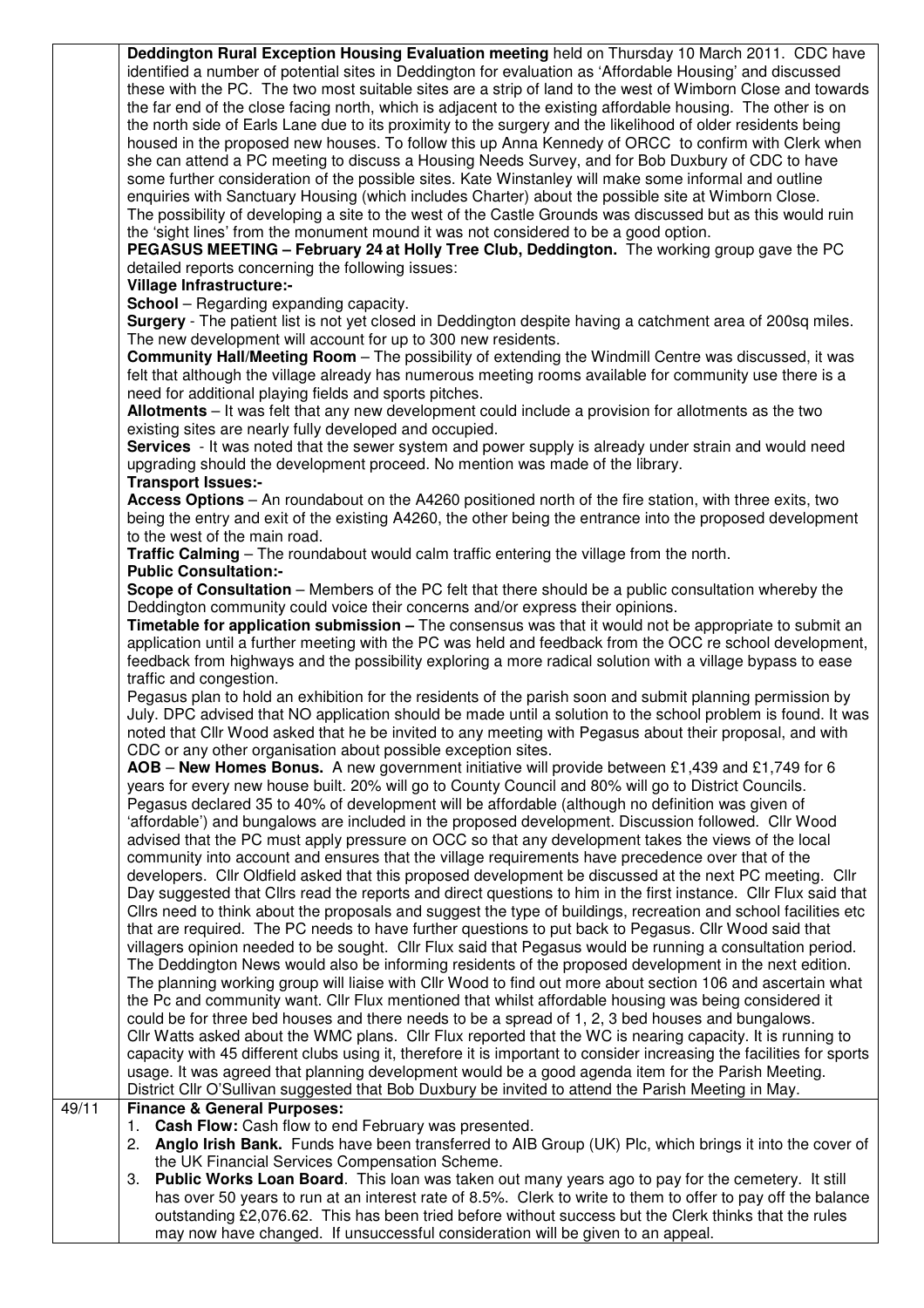**Deddington Rural Exception Housing Evaluation meeting** held on Thursday 10 March 2011.CDC have identified a number of potential sites in Deddington for evaluation as 'Affordable Housing' and discussed these with the PC. The two most suitable sites are a strip of land to the west of Wimborn Close and towards the far end of the close facing north, which is adjacent to the existing affordable housing. The other is on the north side of Earls Lane due to its proximity to the surgery and the likelihood of older residents being housed in the proposed new houses. To follow this up Anna Kennedy of ORCC to confirm with Clerk when she can attend a PC meeting to discuss a Housing Needs Survey, and for Bob Duxbury of CDC to have some further consideration of the possible sites. Kate Winstanley will make some informal and outline enquiries with Sanctuary Housing (which includes Charter) about the possible site at Wimborn Close. The possibility of developing a site to the west of the Castle Grounds was discussed but as this would ruin the 'sight lines' from the monument mound it was not considered to be a good option.

**PEGASUS MEETING – February 24 at Holly Tree Club, Deddington.** The working group gave the PC detailed reports concerning the following issues:

**Village Infrastructure:-** 

**School** – Regarding expanding capacity.

**Surgery** - The patient list is not yet closed in Deddington despite having a catchment area of 200sq miles. The new development will account for up to 300 new residents.

**Community Hall/Meeting Room** – The possibility of extending the Windmill Centre was discussed, it was felt that although the village already has numerous meeting rooms available for community use there is a need for additional playing fields and sports pitches.

**Allotments** – It was felt that any new development could include a provision for allotments as the two existing sites are nearly fully developed and occupied.

**Services** - It was noted that the sewer system and power supply is already under strain and would need upgrading should the development proceed. No mention was made of the library.

## **Transport Issues:-**

**Access Options** – An roundabout on the A4260 positioned north of the fire station, with three exits, two being the entry and exit of the existing A4260, the other being the entrance into the proposed development to the west of the main road.

**Traffic Calming** – The roundabout would calm traffic entering the village from the north.

## **Public Consultation:-**

**Scope of Consultation** – Members of the PC felt that there should be a public consultation whereby the Deddington community could voice their concerns and/or express their opinions.

**Timetable for application submission –** The consensus was that it would not be appropriate to submit an application until a further meeting with the PC was held and feedback from the OCC re school development, feedback from highways and the possibility exploring a more radical solution with a village bypass to ease traffic and congestion.

Pegasus plan to hold an exhibition for the residents of the parish soon and submit planning permission by July. DPC advised that NO application should be made until a solution to the school problem is found. It was noted that Cllr Wood asked that he be invited to any meeting with Pegasus about their proposal, and with CDC or any other organisation about possible exception sites.

**AOB** – **New Homes Bonus.** A new government initiative will provide between £1,439 and £1,749 for 6 years for every new house built. 20% will go to County Council and 80% will go to District Councils. Pegasus declared 35 to 40% of development will be affordable (although no definition was given of 'affordable') and bungalows are included in the proposed development. Discussion followed. Cllr Wood advised that the PC must apply pressure on OCC so that any development takes the views of the local community into account and ensures that the village requirements have precedence over that of the developers. Cllr Oldfield asked that this proposed development be discussed at the next PC meeting. Cllr Day suggested that Cllrs read the reports and direct questions to him in the first instance. Cllr Flux said that Cllrs need to think about the proposals and suggest the type of buildings, recreation and school facilities etc that are required. The PC needs to have further questions to put back to Pegasus. Cllr Wood said that villagers opinion needed to be sought. Cllr Flux said that Pegasus would be running a consultation period. The Deddington News would also be informing residents of the proposed development in the next edition. The planning working group will liaise with Cllr Wood to find out more about section 106 and ascertain what the Pc and community want. Cllr Flux mentioned that whilst affordable housing was being considered it could be for three bed houses and there needs to be a spread of 1, 2, 3 bed houses and bungalows. Cllr Watts asked about the WMC plans. Cllr Flux reported that the WC is nearing capacity. It is running to capacity with 45 different clubs using it, therefore it is important to consider increasing the facilities for sports usage. It was agreed that planning development would be a good agenda item for the Parish Meeting. District Cllr O'Sullivan suggested that Bob Duxbury be invited to attend the Parish Meeting in May.

## 49/11 **Finance & General Purposes:**

- 1. **Cash Flow:** Cash flow to end February was presented.
- 2. **Anglo Irish Bank.** Funds have been transferred to AIB Group (UK) Plc, which brings it into the cover of the UK Financial Services Compensation Scheme.
- 3. **Public Works Loan Board**. This loan was taken out many years ago to pay for the cemetery. It still has over 50 years to run at an interest rate of 8.5%. Clerk to write to them to offer to pay off the balance outstanding £2,076.62. This has been tried before without success but the Clerk thinks that the rules may now have changed. If unsuccessful consideration will be given to an appeal.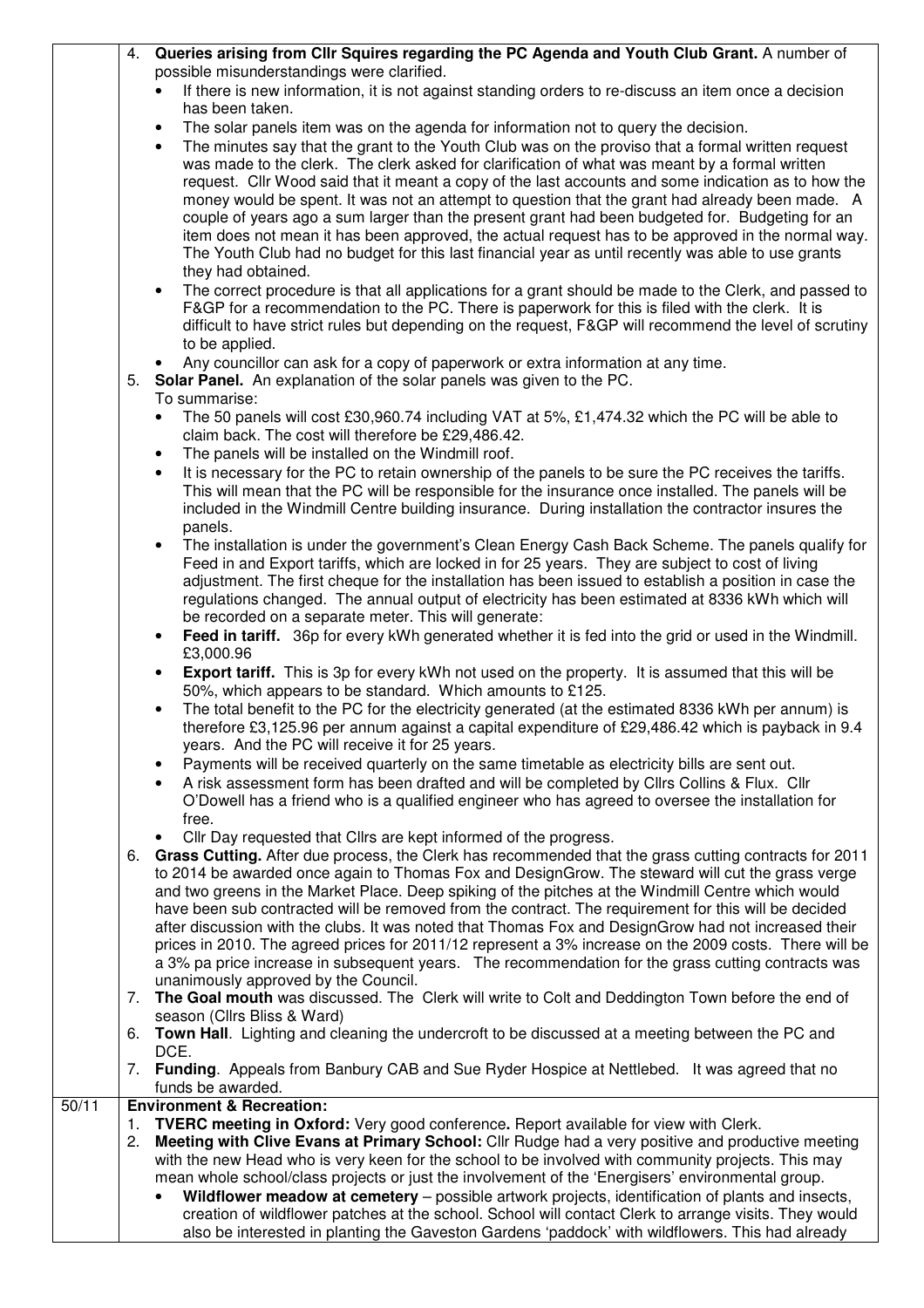|       | 4. | Queries arising from Cllr Squires regarding the PC Agenda and Youth Club Grant. A number of                                                                                                                              |
|-------|----|--------------------------------------------------------------------------------------------------------------------------------------------------------------------------------------------------------------------------|
|       |    | possible misunderstandings were clarified.                                                                                                                                                                               |
|       |    | If there is new information, it is not against standing orders to re-discuss an item once a decision                                                                                                                     |
|       |    | has been taken.                                                                                                                                                                                                          |
|       |    | The solar panels item was on the agenda for information not to query the decision.<br>٠                                                                                                                                  |
|       |    | The minutes say that the grant to the Youth Club was on the proviso that a formal written request                                                                                                                        |
|       |    | was made to the clerk. The clerk asked for clarification of what was meant by a formal written                                                                                                                           |
|       |    | request. Cllr Wood said that it meant a copy of the last accounts and some indication as to how the                                                                                                                      |
|       |    | money would be spent. It was not an attempt to question that the grant had already been made. A                                                                                                                          |
|       |    | couple of years ago a sum larger than the present grant had been budgeted for. Budgeting for an<br>item does not mean it has been approved, the actual request has to be approved in the normal way.                     |
|       |    | The Youth Club had no budget for this last financial year as until recently was able to use grants                                                                                                                       |
|       |    | they had obtained.                                                                                                                                                                                                       |
|       |    | The correct procedure is that all applications for a grant should be made to the Clerk, and passed to<br>$\bullet$                                                                                                       |
|       |    | F&GP for a recommendation to the PC. There is paperwork for this is filed with the clerk. It is                                                                                                                          |
|       |    | difficult to have strict rules but depending on the request, F&GP will recommend the level of scrutiny                                                                                                                   |
|       |    | to be applied.                                                                                                                                                                                                           |
|       |    | Any councillor can ask for a copy of paperwork or extra information at any time.                                                                                                                                         |
|       |    | 5. Solar Panel. An explanation of the solar panels was given to the PC.                                                                                                                                                  |
|       |    | To summarise:                                                                                                                                                                                                            |
|       |    | The 50 panels will cost £30,960.74 including VAT at 5%, £1,474.32 which the PC will be able to<br>$\bullet$                                                                                                              |
|       |    | claim back. The cost will therefore be £29,486.42.                                                                                                                                                                       |
|       |    | The panels will be installed on the Windmill roof.<br>$\bullet$                                                                                                                                                          |
|       |    | It is necessary for the PC to retain ownership of the panels to be sure the PC receives the tariffs.<br>$\bullet$<br>This will mean that the PC will be responsible for the insurance once installed. The panels will be |
|       |    | included in the Windmill Centre building insurance. During installation the contractor insures the                                                                                                                       |
|       |    | panels.                                                                                                                                                                                                                  |
|       |    | The installation is under the government's Clean Energy Cash Back Scheme. The panels qualify for                                                                                                                         |
|       |    | Feed in and Export tariffs, which are locked in for 25 years. They are subject to cost of living                                                                                                                         |
|       |    | adjustment. The first cheque for the installation has been issued to establish a position in case the                                                                                                                    |
|       |    | regulations changed. The annual output of electricity has been estimated at 8336 kWh which will                                                                                                                          |
|       |    | be recorded on a separate meter. This will generate:                                                                                                                                                                     |
|       |    | Feed in tariff. 36p for every kWh generated whether it is fed into the grid or used in the Windmill.<br>$\bullet$                                                                                                        |
|       |    | £3,000.96                                                                                                                                                                                                                |
|       |    | Export tariff. This is 3p for every kWh not used on the property. It is assumed that this will be<br>$\bullet$<br>50%, which appears to be standard. Which amounts to £125.                                              |
|       |    | The total benefit to the PC for the electricity generated (at the estimated 8336 kWh per annum) is<br>$\bullet$                                                                                                          |
|       |    | therefore £3,125.96 per annum against a capital expenditure of £29,486.42 which is payback in 9.4                                                                                                                        |
|       |    | years. And the PC will receive it for 25 years.                                                                                                                                                                          |
|       |    | Payments will be received quarterly on the same timetable as electricity bills are sent out.                                                                                                                             |
|       |    | A risk assessment form has been drafted and will be completed by Cllrs Collins & Flux. Cllr                                                                                                                              |
|       |    | O'Dowell has a friend who is a qualified engineer who has agreed to oversee the installation for                                                                                                                         |
|       |    | free.                                                                                                                                                                                                                    |
|       |    | Cllr Day requested that Cllrs are kept informed of the progress.                                                                                                                                                         |
|       | 6. | Grass Cutting. After due process, the Clerk has recommended that the grass cutting contracts for 2011                                                                                                                    |
|       |    | to 2014 be awarded once again to Thomas Fox and DesignGrow. The steward will cut the grass verge<br>and two greens in the Market Place. Deep spiking of the pitches at the Windmill Centre which would                   |
|       |    | have been sub contracted will be removed from the contract. The requirement for this will be decided                                                                                                                     |
|       |    | after discussion with the clubs. It was noted that Thomas Fox and DesignGrow had not increased their                                                                                                                     |
|       |    | prices in 2010. The agreed prices for 2011/12 represent a 3% increase on the 2009 costs. There will be                                                                                                                   |
|       |    | a 3% pa price increase in subsequent years. The recommendation for the grass cutting contracts was                                                                                                                       |
|       |    | unanimously approved by the Council.                                                                                                                                                                                     |
|       | 7. | The Goal mouth was discussed. The Clerk will write to Colt and Deddington Town before the end of                                                                                                                         |
|       |    | season (Cllrs Bliss & Ward)                                                                                                                                                                                              |
|       | 6. | Town Hall. Lighting and cleaning the undercroft to be discussed at a meeting between the PC and<br>DCE.                                                                                                                  |
|       | 7. | Funding. Appeals from Banbury CAB and Sue Ryder Hospice at Nettlebed. It was agreed that no                                                                                                                              |
|       |    | funds be awarded.                                                                                                                                                                                                        |
| 50/11 |    | <b>Environment &amp; Recreation:</b>                                                                                                                                                                                     |
|       | 1. | TVERC meeting in Oxford: Very good conference. Report available for view with Clerk.                                                                                                                                     |
|       | 2. | Meeting with Clive Evans at Primary School: Cllr Rudge had a very positive and productive meeting                                                                                                                        |
|       |    | with the new Head who is very keen for the school to be involved with community projects. This may                                                                                                                       |
|       |    | mean whole school/class projects or just the involvement of the 'Energisers' environmental group.                                                                                                                        |
|       |    | Wildflower meadow at cemetery - possible artwork projects, identification of plants and insects,                                                                                                                         |
|       |    | creation of wildflower patches at the school. School will contact Clerk to arrange visits. They would<br>also be interested in planting the Gaveston Gardens 'paddock' with wildflowers. This had already                |
|       |    |                                                                                                                                                                                                                          |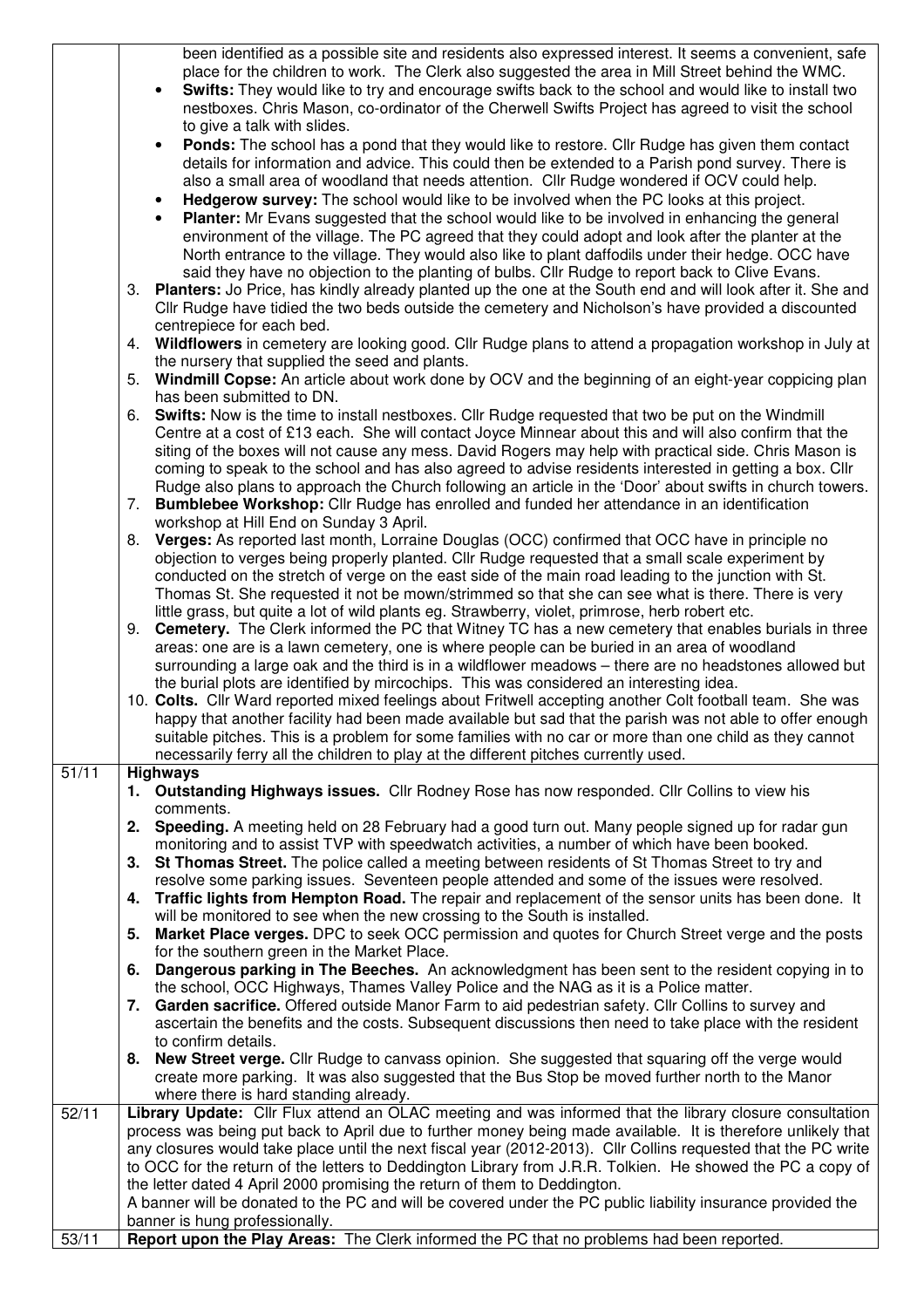|                   |                                                                                                                                                                                         | been identified as a possible site and residents also expressed interest. It seems a convenient, safe                                                                                                      |  |  |  |  |
|-------------------|-----------------------------------------------------------------------------------------------------------------------------------------------------------------------------------------|------------------------------------------------------------------------------------------------------------------------------------------------------------------------------------------------------------|--|--|--|--|
|                   |                                                                                                                                                                                         | place for the children to work. The Clerk also suggested the area in Mill Street behind the WMC.                                                                                                           |  |  |  |  |
|                   |                                                                                                                                                                                         | Swifts: They would like to try and encourage swifts back to the school and would like to install two<br>nestboxes. Chris Mason, co-ordinator of the Cherwell Swifts Project has agreed to visit the school |  |  |  |  |
|                   |                                                                                                                                                                                         | to give a talk with slides.                                                                                                                                                                                |  |  |  |  |
|                   |                                                                                                                                                                                         | Ponds: The school has a pond that they would like to restore. Cllr Rudge has given them contact<br>$\bullet$                                                                                               |  |  |  |  |
|                   |                                                                                                                                                                                         | details for information and advice. This could then be extended to a Parish pond survey. There is                                                                                                          |  |  |  |  |
|                   |                                                                                                                                                                                         | also a small area of woodland that needs attention. Cllr Rudge wondered if OCV could help.                                                                                                                 |  |  |  |  |
|                   |                                                                                                                                                                                         |                                                                                                                                                                                                            |  |  |  |  |
|                   |                                                                                                                                                                                         | Hedgerow survey: The school would like to be involved when the PC looks at this project.                                                                                                                   |  |  |  |  |
|                   |                                                                                                                                                                                         | Planter: Mr Evans suggested that the school would like to be involved in enhancing the general                                                                                                             |  |  |  |  |
|                   |                                                                                                                                                                                         | environment of the village. The PC agreed that they could adopt and look after the planter at the                                                                                                          |  |  |  |  |
|                   |                                                                                                                                                                                         | North entrance to the village. They would also like to plant daffodils under their hedge. OCC have                                                                                                         |  |  |  |  |
|                   |                                                                                                                                                                                         | said they have no objection to the planting of bulbs. Cllr Rudge to report back to Clive Evans.                                                                                                            |  |  |  |  |
|                   | 3.                                                                                                                                                                                      | <b>Planters:</b> Jo Price, has kindly already planted up the one at the South end and will look after it. She and                                                                                          |  |  |  |  |
|                   |                                                                                                                                                                                         | Cllr Rudge have tidied the two beds outside the cemetery and Nicholson's have provided a discounted                                                                                                        |  |  |  |  |
|                   | 4.                                                                                                                                                                                      | centrepiece for each bed.<br>Wildflowers in cemetery are looking good. Cllr Rudge plans to attend a propagation workshop in July at                                                                        |  |  |  |  |
|                   |                                                                                                                                                                                         | the nursery that supplied the seed and plants.                                                                                                                                                             |  |  |  |  |
|                   | 5.                                                                                                                                                                                      |                                                                                                                                                                                                            |  |  |  |  |
|                   |                                                                                                                                                                                         | Windmill Copse: An article about work done by OCV and the beginning of an eight-year coppicing plan<br>has been submitted to DN.                                                                           |  |  |  |  |
|                   | 6.                                                                                                                                                                                      | Swifts: Now is the time to install nestboxes. Cllr Rudge requested that two be put on the Windmill                                                                                                         |  |  |  |  |
|                   |                                                                                                                                                                                         | Centre at a cost of £13 each. She will contact Joyce Minnear about this and will also confirm that the                                                                                                     |  |  |  |  |
|                   |                                                                                                                                                                                         | siting of the boxes will not cause any mess. David Rogers may help with practical side. Chris Mason is                                                                                                     |  |  |  |  |
|                   |                                                                                                                                                                                         | coming to speak to the school and has also agreed to advise residents interested in getting a box. Cllr                                                                                                    |  |  |  |  |
|                   |                                                                                                                                                                                         | Rudge also plans to approach the Church following an article in the 'Door' about swifts in church towers.                                                                                                  |  |  |  |  |
|                   | 7.                                                                                                                                                                                      | <b>Bumblebee Workshop:</b> Cllr Rudge has enrolled and funded her attendance in an identification                                                                                                          |  |  |  |  |
|                   |                                                                                                                                                                                         | workshop at Hill End on Sunday 3 April.                                                                                                                                                                    |  |  |  |  |
|                   | 8.                                                                                                                                                                                      | Verges: As reported last month, Lorraine Douglas (OCC) confirmed that OCC have in principle no                                                                                                             |  |  |  |  |
|                   |                                                                                                                                                                                         | objection to verges being properly planted. Cllr Rudge requested that a small scale experiment by                                                                                                          |  |  |  |  |
|                   |                                                                                                                                                                                         | conducted on the stretch of verge on the east side of the main road leading to the junction with St.                                                                                                       |  |  |  |  |
|                   |                                                                                                                                                                                         | Thomas St. She requested it not be mown/strimmed so that she can see what is there. There is very                                                                                                          |  |  |  |  |
|                   |                                                                                                                                                                                         | little grass, but quite a lot of wild plants eg. Strawberry, violet, primrose, herb robert etc.                                                                                                            |  |  |  |  |
|                   | 9.                                                                                                                                                                                      | <b>Cemetery.</b> The Clerk informed the PC that Witney TC has a new cemetery that enables burials in three                                                                                                 |  |  |  |  |
|                   |                                                                                                                                                                                         | areas: one are is a lawn cemetery, one is where people can be buried in an area of woodland                                                                                                                |  |  |  |  |
|                   |                                                                                                                                                                                         | surrounding a large oak and the third is in a wildflower meadows - there are no headstones allowed but                                                                                                     |  |  |  |  |
|                   |                                                                                                                                                                                         | the burial plots are identified by mircochips. This was considered an interesting idea.                                                                                                                    |  |  |  |  |
|                   |                                                                                                                                                                                         | 10. Colts. Cllr Ward reported mixed feelings about Fritwell accepting another Colt football team. She was                                                                                                  |  |  |  |  |
|                   |                                                                                                                                                                                         | happy that another facility had been made available but sad that the parish was not able to offer enough                                                                                                   |  |  |  |  |
|                   |                                                                                                                                                                                         | suitable pitches. This is a problem for some families with no car or more than one child as they cannot                                                                                                    |  |  |  |  |
|                   |                                                                                                                                                                                         | necessarily ferry all the children to play at the different pitches currently used.                                                                                                                        |  |  |  |  |
| 51/11             |                                                                                                                                                                                         | <b>Highways</b>                                                                                                                                                                                            |  |  |  |  |
|                   |                                                                                                                                                                                         | 1. Outstanding Highways issues. Cllr Rodney Rose has now responded. Cllr Collins to view his                                                                                                               |  |  |  |  |
|                   |                                                                                                                                                                                         | comments.                                                                                                                                                                                                  |  |  |  |  |
|                   | 2.                                                                                                                                                                                      | Speeding. A meeting held on 28 February had a good turn out. Many people signed up for radar gun                                                                                                           |  |  |  |  |
|                   |                                                                                                                                                                                         | monitoring and to assist TVP with speedwatch activities, a number of which have been booked.                                                                                                               |  |  |  |  |
|                   | 3.                                                                                                                                                                                      | St Thomas Street. The police called a meeting between residents of St Thomas Street to try and                                                                                                             |  |  |  |  |
|                   |                                                                                                                                                                                         | resolve some parking issues. Seventeen people attended and some of the issues were resolved.                                                                                                               |  |  |  |  |
|                   | 4.                                                                                                                                                                                      | Traffic lights from Hempton Road. The repair and replacement of the sensor units has been done. It                                                                                                         |  |  |  |  |
|                   |                                                                                                                                                                                         | will be monitored to see when the new crossing to the South is installed.                                                                                                                                  |  |  |  |  |
|                   | 5.                                                                                                                                                                                      | Market Place verges. DPC to seek OCC permission and quotes for Church Street verge and the posts                                                                                                           |  |  |  |  |
|                   |                                                                                                                                                                                         | for the southern green in the Market Place.                                                                                                                                                                |  |  |  |  |
|                   | 6.                                                                                                                                                                                      | Dangerous parking in The Beeches. An acknowledgment has been sent to the resident copying in to                                                                                                            |  |  |  |  |
|                   |                                                                                                                                                                                         | the school, OCC Highways, Thames Valley Police and the NAG as it is a Police matter.                                                                                                                       |  |  |  |  |
|                   |                                                                                                                                                                                         | 7. Garden sacrifice. Offered outside Manor Farm to aid pedestrian safety. Cllr Collins to survey and                                                                                                       |  |  |  |  |
|                   |                                                                                                                                                                                         | ascertain the benefits and the costs. Subsequent discussions then need to take place with the resident                                                                                                     |  |  |  |  |
|                   | 8.                                                                                                                                                                                      | to confirm details.<br>New Street verge. Cllr Rudge to canvass opinion. She suggested that squaring off the verge would                                                                                    |  |  |  |  |
|                   |                                                                                                                                                                                         | create more parking. It was also suggested that the Bus Stop be moved further north to the Manor                                                                                                           |  |  |  |  |
|                   |                                                                                                                                                                                         | where there is hard standing already.                                                                                                                                                                      |  |  |  |  |
| $\frac{1}{22/11}$ |                                                                                                                                                                                         | Library Update: Cllr Flux attend an OLAC meeting and was informed that the library closure consultation                                                                                                    |  |  |  |  |
|                   |                                                                                                                                                                                         | process was being put back to April due to further money being made available. It is therefore unlikely that                                                                                               |  |  |  |  |
|                   |                                                                                                                                                                                         | any closures would take place until the next fiscal year (2012-2013). Cllr Collins requested that the PC write                                                                                             |  |  |  |  |
|                   | to OCC for the return of the letters to Deddington Library from J.R.R. Tolkien. He showed the PC a copy of<br>the letter dated 4 April 2000 promising the return of them to Deddington. |                                                                                                                                                                                                            |  |  |  |  |
|                   |                                                                                                                                                                                         |                                                                                                                                                                                                            |  |  |  |  |
|                   |                                                                                                                                                                                         | A banner will be donated to the PC and will be covered under the PC public liability insurance provided the                                                                                                |  |  |  |  |
|                   |                                                                                                                                                                                         | banner is hung professionally.                                                                                                                                                                             |  |  |  |  |
| 53/11             |                                                                                                                                                                                         | Report upon the Play Areas: The Clerk informed the PC that no problems had been reported.                                                                                                                  |  |  |  |  |